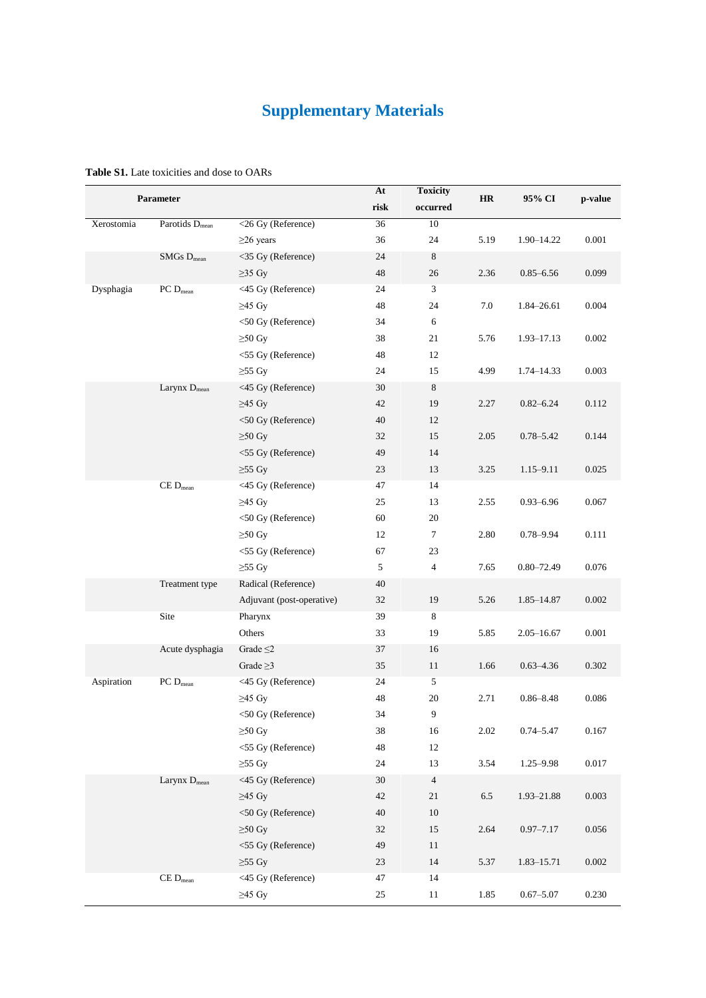## **Supplementary Materials**

| Parameter  |                            |                           | At   | <b>Toxicity</b>  | <b>HR</b> | 95% CI         |         |
|------------|----------------------------|---------------------------|------|------------------|-----------|----------------|---------|
|            |                            |                           | risk | occurred         |           |                | p-value |
| Xerostomia | Parotids D <sub>mean</sub> | <26 Gy (Reference)        | 36   | $10\,$           |           |                |         |
|            |                            | $\geq$ 26 years           | 36   | 24               | 5.19      | 1.90-14.22     | 0.001   |
|            | $SMGs$ $D_{mean}$          | <35 Gy (Reference)        | 24   | $\,8\,$          |           |                |         |
|            |                            | $\geq$ 35 Gy              | 48   | 26               | 2.36      | $0.85 - 6.56$  | 0.099   |
| Dysphagia  | $PC D_{mean}$              | <45 Gy (Reference)        | 24   | 3                |           |                |         |
|            |                            | $\geq$ 45 Gy              | 48   | 24               | 7.0       | 1.84-26.61     | 0.004   |
|            |                            | <50 Gy (Reference)        | 34   | 6                |           |                |         |
|            |                            | $\geq 50$ Gy              | 38   | 21               | 5.76      | 1.93-17.13     | 0.002   |
|            |                            | <55 Gy (Reference)        | 48   | 12               |           |                |         |
|            |                            | $\geq 55$ Gy              | 24   | 15               | 4.99      | 1.74–14.33     | 0.003   |
|            | Larynx $D_{mean}$          | <45 Gy (Reference)        | 30   | $\,8\,$          |           |                |         |
|            |                            | $\geq$ 45 Gy              | 42   | 19               | 2.27      | $0.82 - 6.24$  | 0.112   |
|            |                            | <50 Gy (Reference)        | 40   | 12               |           |                |         |
|            |                            | $\geq 50$ Gy              | 32   | 15               | 2.05      | $0.78 - 5.42$  | 0.144   |
|            |                            | <55 Gy (Reference)        | 49   | 14               |           |                |         |
|            |                            | $\geq 55$ Gy              | 23   | 13               | 3.25      | $1.15 - 9.11$  | 0.025   |
|            | $CE$ $D_{mean}$            | <45 Gy (Reference)        | 47   | 14               |           |                |         |
|            |                            | $\geq$ 45 Gy              | 25   | 13               | 2.55      | $0.93 - 6.96$  | 0.067   |
|            |                            | <50 Gy (Reference)        | 60   | 20               |           |                |         |
|            |                            | $\geq 50$ Gy              | 12   | $\boldsymbol{7}$ | 2.80      | $0.78 - 9.94$  | 0.111   |
|            |                            | <55 Gy (Reference)        | 67   | 23               |           |                |         |
|            |                            | $\geq 55$ Gy              | 5    | $\overline{4}$   | 7.65      | $0.80 - 72.49$ | 0.076   |
|            | Treatment type             | Radical (Reference)       | 40   |                  |           |                |         |
|            |                            | Adjuvant (post-operative) | 32   | 19               | 5.26      | 1.85-14.87     | 0.002   |
|            | Site                       | Pharynx                   | 39   | 8                |           |                |         |
|            |                            | Others                    | 33   | 19               | 5.85      | $2.05 - 16.67$ | 0.001   |
|            | Acute dysphagia            | Grade $\leq$ 2            | 37   | 16               |           |                |         |
|            |                            | Grade $\geq$ 3            | 35   | 11               | 1.66      | $0.63 - 4.36$  | 0.302   |
| Aspiration | $PC D_{mean}$              | <45 Gy (Reference)        | 24   | 5                |           |                |         |
|            |                            | $\geq$ 45 Gy              | 48   | 20               | 2.71      | $0.86 - 8.48$  | 0.086   |
|            |                            | <50 Gy (Reference)        | 34   | 9                |           |                |         |
|            |                            | $\geq 50$ Gy              | 38   | 16               | 2.02      | $0.74 - 5.47$  | 0.167   |
|            |                            | <55 Gy (Reference)        | 48   | 12               |           |                |         |
|            |                            | $\geq 55$ Gy              | 24   | 13               | 3.54      | $1.25 - 9.98$  | 0.017   |
|            | Larynx D <sub>mean</sub>   | <45 Gy (Reference)        | 30   | $\overline{4}$   |           |                |         |
|            |                            | $\geq$ 45 Gy              | 42   | 21               | 6.5       | 1.93-21.88     | 0.003   |
|            |                            | <50 Gy (Reference)        | 40   | 10               |           |                |         |
|            |                            | $\geq 50$ Gy              | 32   | 15               | 2.64      | $0.97 - 7.17$  | 0.056   |
|            |                            | <55 Gy (Reference)        | 49   | 11               |           |                |         |
|            |                            | $\geq 55$ Gy              | 23   | 14               | 5.37      | 1.83-15.71     | 0.002   |
|            | $CE$ $D_{mean}$            | <45 Gy (Reference)        | 47   | 14               |           |                |         |
|            |                            | $\geq$ 45 Gy              | 25   | 11               | 1.85      | $0.67 - 5.07$  | 0.230   |

## **Table S1.** Late toxicities and dose to OARs